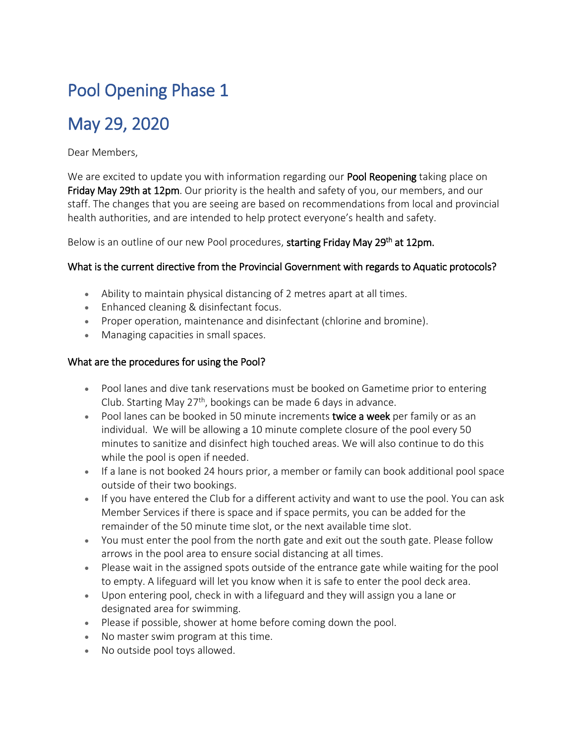# Pool Opening Phase 1

# May 29, 2020

Dear Members,

We are excited to update you with information regarding our **Pool Reopening** taking place on Friday May 29th at 12pm. Our priority is the health and safety of you, our members, and our staff. The changes that you are seeing are based on recommendations from local and provincial health authorities, and are intended to help protect everyone's health and safety.

Below is an outline of our new Pool procedures, starting Friday May 29<sup>th</sup> at 12pm.

#### What is the current directive from the Provincial Government with regards to Aquatic protocols?

- Ability to maintain physical distancing of 2 metres apart at all times.
- Enhanced cleaning & disinfectant focus.
- Proper operation, maintenance and disinfectant (chlorine and bromine).
- **Managing capacities in small spaces.**

#### What are the procedures for using the Pool?

- Pool lanes and dive tank reservations must be booked on Gametime prior to entering Club. Starting May  $27<sup>th</sup>$ , bookings can be made 6 days in advance.
- Pool lanes can be booked in 50 minute increments twice a week per family or as an individual. We will be allowing a 10 minute complete closure of the pool every 50 minutes to sanitize and disinfect high touched areas. We will also continue to do this while the pool is open if needed.
- If a lane is not booked 24 hours prior, a member or family can book additional pool space outside of their two bookings.
- If you have entered the Club for a different activity and want to use the pool. You can ask Member Services if there is space and if space permits, you can be added for the remainder of the 50 minute time slot, or the next available time slot.
- You must enter the pool from the north gate and exit out the south gate. Please follow arrows in the pool area to ensure social distancing at all times.
- Please wait in the assigned spots outside of the entrance gate while waiting for the pool to empty. A lifeguard will let you know when it is safe to enter the pool deck area.
- Upon entering pool, check in with a lifeguard and they will assign you a lane or designated area for swimming.
- Please if possible, shower at home before coming down the pool.
- No master swim program at this time.
- No outside pool toys allowed.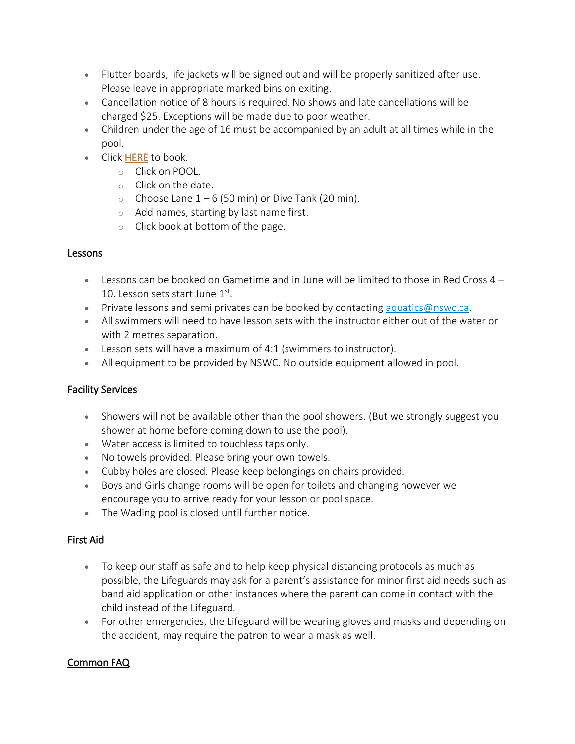- Flutter boards, life jackets will be signed out and will be properly sanitized after use. Please leave in appropriate marked bins on exiting.
- Cancellation notice of 8 hours is required. No shows and late cancellations will be charged \$25. Exceptions will be made due to poor weather.
- Children under the age of 16 must be accompanied by an adult at all times while in the pool.
- Click [HERE](http://nsw.gametime.net/manager/scheduling/index/index/sport/5#date=2020-05-29&group=null) to book.
	- o Click on POOL.
	- o Click on the date.
	- $\circ$  Choose Lane  $1 6$  (50 min) or Dive Tank (20 min).
	- o Add names, starting by last name first.
	- o Click book at bottom of the page.

#### Lessons

- **Lessons can be booked on Gametime and in June will be limited to those in Red Cross 4** 10. Lesson sets start June 1st.
- Private lessons and semi privates can be booked by contacting [aquatics@nswc.ca.](mailto:aquatics@nswc.ca)
- All swimmers will need to have lesson sets with the instructor either out of the water or with 2 metres separation.
- Lesson sets will have a maximum of 4:1 (swimmers to instructor).
- All equipment to be provided by NSWC. No outside equipment allowed in pool.

#### Facility Services

- Showers will not be available other than the pool showers. (But we strongly suggest you shower at home before coming down to use the pool).
- Water access is limited to touchless taps only.
- No towels provided. Please bring your own towels.
- Cubby holes are closed. Please keep belongings on chairs provided.
- Boys and Girls change rooms will be open for toilets and changing however we encourage you to arrive ready for your lesson or pool space.
- The Wading pool is closed until further notice.

#### First Aid

- To keep our staff as safe and to help keep physical distancing protocols as much as possible, the Lifeguards may ask for a parent's assistance for minor first aid needs such as band aid application or other instances where the parent can come in contact with the child instead of the Lifeguard.
- For other emergencies, the Lifeguard will be wearing gloves and masks and depending on the accident, may require the patron to wear a mask as well.

## Common FAQ